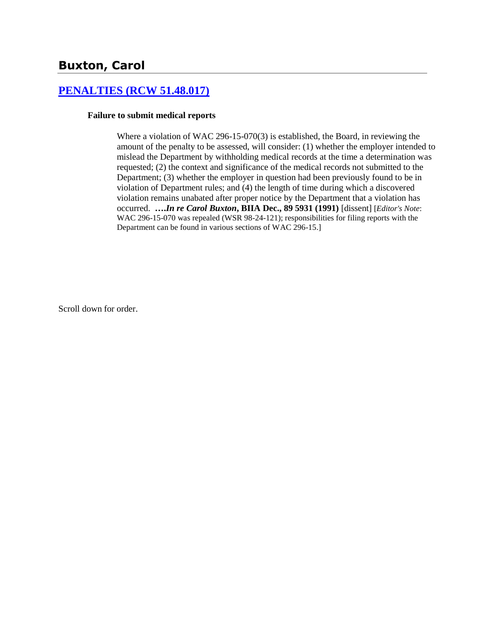# **Buxton, Carol**

## **[PENALTIES \(RCW 51.48.017\)](http://www.biia.wa.gov/SDSubjectIndex.html#PENALTIES)**

#### **Failure to submit medical reports**

Where a violation of WAC 296-15-070(3) is established, the Board, in reviewing the amount of the penalty to be assessed, will consider: (1) whether the employer intended to mislead the Department by withholding medical records at the time a determination was requested; (2) the context and significance of the medical records not submitted to the Department; (3) whether the employer in question had been previously found to be in violation of Department rules; and (4) the length of time during which a discovered violation remains unabated after proper notice by the Department that a violation has occurred. **….***In re Carol Buxton***, BIIA Dec., 89 5931 (1991)** [dissent] [*Editor's Note*: WAC 296-15-070 was repealed (WSR 98-24-121); responsibilities for filing reports with the Department can be found in various sections of WAC 296-15.]

Scroll down for order.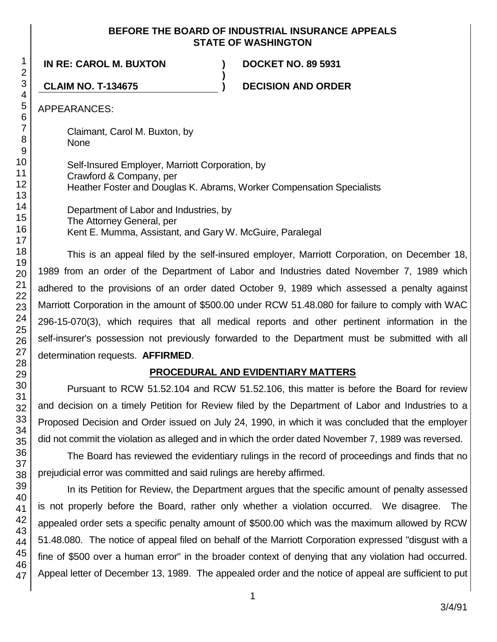#### **BEFORE THE BOARD OF INDUSTRIAL INSURANCE APPEALS STATE OF WASHINGTON**

**IN RE: CAROL M. BUXTON ) DOCKET NO. 89 5931**

**CLAIM NO. T-134675 ) DECISION AND ORDER**

APPEARANCES:

Claimant, Carol M. Buxton, by None

Self-Insured Employer, Marriott Corporation, by Crawford & Company, per Heather Foster and Douglas K. Abrams, Worker Compensation Specialists

**)**

Department of Labor and Industries, by The Attorney General, per Kent E. Mumma, Assistant, and Gary W. McGuire, Paralegal

This is an appeal filed by the self-insured employer, Marriott Corporation, on December 18, 1989 from an order of the Department of Labor and Industries dated November 7, 1989 which adhered to the provisions of an order dated October 9, 1989 which assessed a penalty against Marriott Corporation in the amount of \$500.00 under RCW 51.48.080 for failure to comply with WAC 296-15-070(3), which requires that all medical reports and other pertinent information in the self-insurer's possession not previously forwarded to the Department must be submitted with all determination requests. **AFFIRMED**.

# **PROCEDURAL AND EVIDENTIARY MATTERS**

Pursuant to RCW 51.52.104 and RCW 51.52.106, this matter is before the Board for review and decision on a timely Petition for Review filed by the Department of Labor and Industries to a Proposed Decision and Order issued on July 24, 1990, in which it was concluded that the employer did not commit the violation as alleged and in which the order dated November 7, 1989 was reversed.

The Board has reviewed the evidentiary rulings in the record of proceedings and finds that no prejudicial error was committed and said rulings are hereby affirmed.

In its Petition for Review, the Department argues that the specific amount of penalty assessed is not properly before the Board, rather only whether a violation occurred. We disagree. The appealed order sets a specific penalty amount of \$500.00 which was the maximum allowed by RCW 51.48.080. The notice of appeal filed on behalf of the Marriott Corporation expressed "disgust with a fine of \$500 over a human error" in the broader context of denying that any violation had occurred. Appeal letter of December 13, 1989. The appealed order and the notice of appeal are sufficient to put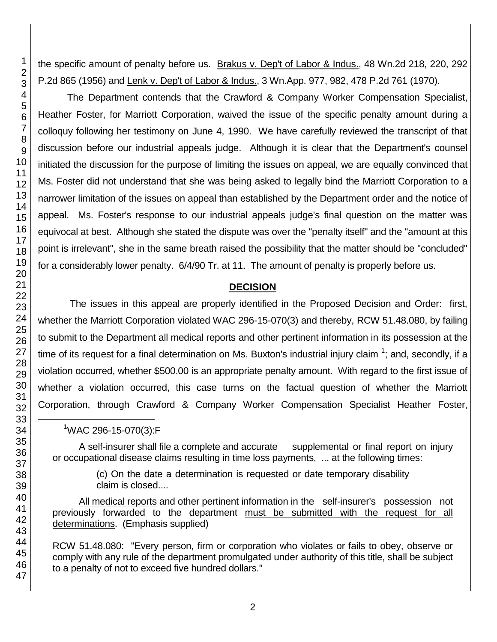the specific amount of penalty before us. Brakus v. Dep't of Labor & Indus., 48 Wn.2d 218, 220, 292 P.2d 865 (1956) and Lenk v. Dep't of Labor & Indus., 3 Wn.App. 977, 982, 478 P.2d 761 (1970).

The Department contends that the Crawford & Company Worker Compensation Specialist, Heather Foster, for Marriott Corporation, waived the issue of the specific penalty amount during a colloquy following her testimony on June 4, 1990. We have carefully reviewed the transcript of that discussion before our industrial appeals judge. Although it is clear that the Department's counsel initiated the discussion for the purpose of limiting the issues on appeal, we are equally convinced that Ms. Foster did not understand that she was being asked to legally bind the Marriott Corporation to a narrower limitation of the issues on appeal than established by the Department order and the notice of appeal. Ms. Foster's response to our industrial appeals judge's final question on the matter was equivocal at best. Although she stated the dispute was over the "penalty itself" and the "amount at this point is irrelevant", she in the same breath raised the possibility that the matter should be "concluded" for a considerably lower penalty. 6/4/90 Tr. at 11. The amount of penalty is properly before us.

#### **DECISION**

The issues in this appeal are properly identified in the Proposed Decision and Order: first, whether the Marriott Corporation violated WAC 296-15-070(3) and thereby, RCW 51.48.080, by failing to submit to the Department all medical reports and other pertinent information in its possession at the time of its request for a final determination on Ms. Buxton's industrial injury claim  $1$ ; and, secondly, if a violation occurred, whether \$500.00 is an appropriate penalty amount. With regard to the first issue of whether a violation occurred, this case turns on the factual question of whether the Marriott Corporation, through Crawford & Company Worker Compensation Specialist Heather Foster,

### <sup>1</sup>WAC 296-15-070(3):F

A self-insurer shall file a complete and accurate supplemental or final report on injury or occupational disease claims resulting in time loss payments, ... at the following times:

> (c) On the date a determination is requested or date temporary disability claim is closed....

All medical reports and other pertinent information in the self-insurer's possession not previously forwarded to the department must be submitted with the request for all determinations. (Emphasis supplied)

RCW 51.48.080: "Every person, firm or corporation who violates or fails to obey, observe or comply with any rule of the department promulgated under authority of this title, shall be subject to a penalty of not to exceed five hundred dollars."

l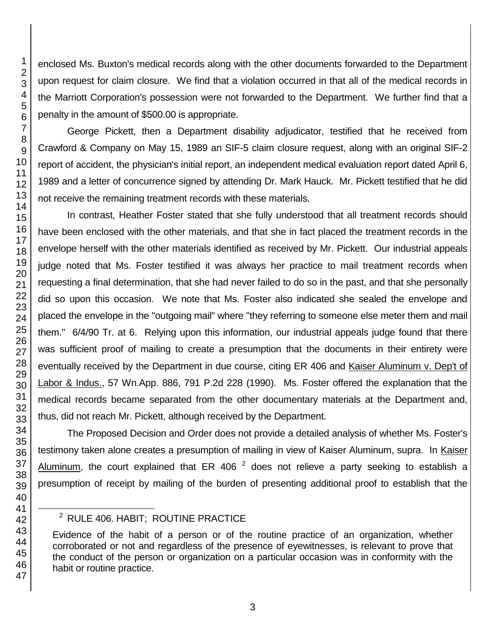enclosed Ms. Buxton's medical records along with the other documents forwarded to the Department upon request for claim closure. We find that a violation occurred in that all of the medical records in the Marriott Corporation's possession were not forwarded to the Department. We further find that a penalty in the amount of \$500.00 is appropriate.

George Pickett, then a Department disability adjudicator, testified that he received from Crawford & Company on May 15, 1989 an SIF-5 claim closure request, along with an original SIF-2 report of accident, the physician's initial report, an independent medical evaluation report dated April 6, 1989 and a letter of concurrence signed by attending Dr. Mark Hauck. Mr. Pickett testified that he did not receive the remaining treatment records with these materials.

In contrast, Heather Foster stated that she fully understood that all treatment records should have been enclosed with the other materials, and that she in fact placed the treatment records in the envelope herself with the other materials identified as received by Mr. Pickett. Our industrial appeals judge noted that Ms. Foster testified it was always her practice to mail treatment records when requesting a final determination, that she had never failed to do so in the past, and that she personally did so upon this occasion. We note that Ms. Foster also indicated she sealed the envelope and placed the envelope in the "outgoing mail" where "they referring to someone else meter them and mail them." 6/4/90 Tr. at 6. Relying upon this information, our industrial appeals judge found that there was sufficient proof of mailing to create a presumption that the documents in their entirety were eventually received by the Department in due course, citing ER 406 and Kaiser Aluminum v. Dep't of Labor & Indus., 57 Wn.App. 886, 791 P.2d 228 (1990). Ms. Foster offered the explanation that the medical records became separated from the other documentary materials at the Department and, thus, did not reach Mr. Pickett, although received by the Department.

The Proposed Decision and Order does not provide a detailed analysis of whether Ms. Foster's testimony taken alone creates a presumption of mailing in view of Kaiser Aluminum, supra. In Kaiser Aluminum, the court explained that ER 406  $^2$  does not relieve a party seeking to establish a presumption of receipt by mailing of the burden of presenting additional proof to establish that the

l

<sup>&</sup>lt;sup>2</sup> RULE 406. HABIT; ROUTINE PRACTICE

Evidence of the habit of a person or of the routine practice of an organization, whether corroborated or not and regardless of the presence of eyewitnesses, is relevant to prove that the conduct of the person or organization on a particular occasion was in conformity with the habit or routine practice.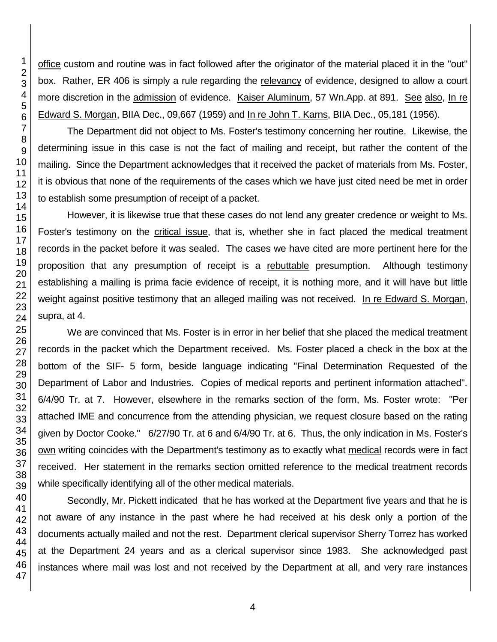office custom and routine was in fact followed after the originator of the material placed it in the "out" box. Rather, ER 406 is simply a rule regarding the relevancy of evidence, designed to allow a court more discretion in the admission of evidence. Kaiser Aluminum, 57 Wn.App. at 891. See also, In re Edward S. Morgan, BIIA Dec., 09,667 (1959) and In re John T. Karns, BIIA Dec., 05,181 (1956).

The Department did not object to Ms. Foster's testimony concerning her routine. Likewise, the determining issue in this case is not the fact of mailing and receipt, but rather the content of the mailing. Since the Department acknowledges that it received the packet of materials from Ms. Foster, it is obvious that none of the requirements of the cases which we have just cited need be met in order to establish some presumption of receipt of a packet.

However, it is likewise true that these cases do not lend any greater credence or weight to Ms. Foster's testimony on the critical issue, that is, whether she in fact placed the medical treatment records in the packet before it was sealed. The cases we have cited are more pertinent here for the proposition that any presumption of receipt is a rebuttable presumption. Although testimony establishing a mailing is prima facie evidence of receipt, it is nothing more, and it will have but little weight against positive testimony that an alleged mailing was not received. In re Edward S. Morgan, supra, at 4.

We are convinced that Ms. Foster is in error in her belief that she placed the medical treatment records in the packet which the Department received. Ms. Foster placed a check in the box at the bottom of the SIF- 5 form, beside language indicating "Final Determination Requested of the Department of Labor and Industries. Copies of medical reports and pertinent information attached". 6/4/90 Tr. at 7. However, elsewhere in the remarks section of the form, Ms. Foster wrote: "Per attached IME and concurrence from the attending physician, we request closure based on the rating given by Doctor Cooke." 6/27/90 Tr. at 6 and 6/4/90 Tr. at 6. Thus, the only indication in Ms. Foster's own writing coincides with the Department's testimony as to exactly what medical records were in fact received. Her statement in the remarks section omitted reference to the medical treatment records while specifically identifying all of the other medical materials.

Secondly, Mr. Pickett indicated that he has worked at the Department five years and that he is not aware of any instance in the past where he had received at his desk only a portion of the documents actually mailed and not the rest. Department clerical supervisor Sherry Torrez has worked at the Department 24 years and as a clerical supervisor since 1983. She acknowledged past instances where mail was lost and not received by the Department at all, and very rare instances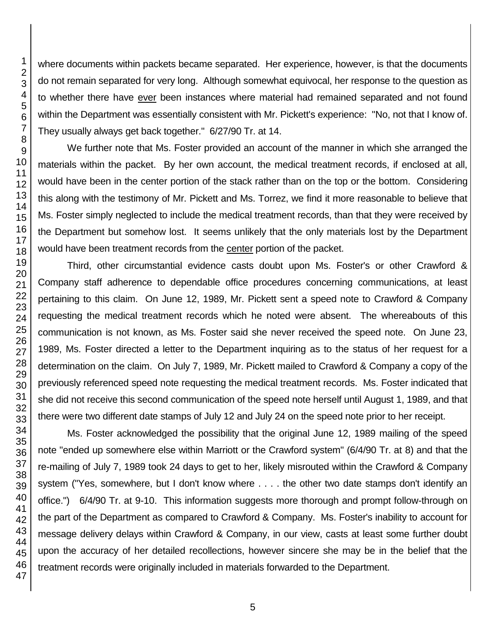where documents within packets became separated. Her experience, however, is that the documents do not remain separated for very long. Although somewhat equivocal, her response to the question as to whether there have ever been instances where material had remained separated and not found within the Department was essentially consistent with Mr. Pickett's experience: "No, not that I know of. They usually always get back together." 6/27/90 Tr. at 14.

We further note that Ms. Foster provided an account of the manner in which she arranged the materials within the packet. By her own account, the medical treatment records, if enclosed at all, would have been in the center portion of the stack rather than on the top or the bottom. Considering this along with the testimony of Mr. Pickett and Ms. Torrez, we find it more reasonable to believe that Ms. Foster simply neglected to include the medical treatment records, than that they were received by the Department but somehow lost. It seems unlikely that the only materials lost by the Department would have been treatment records from the center portion of the packet.

Third, other circumstantial evidence casts doubt upon Ms. Foster's or other Crawford & Company staff adherence to dependable office procedures concerning communications, at least pertaining to this claim. On June 12, 1989, Mr. Pickett sent a speed note to Crawford & Company requesting the medical treatment records which he noted were absent. The whereabouts of this communication is not known, as Ms. Foster said she never received the speed note. On June 23, 1989, Ms. Foster directed a letter to the Department inquiring as to the status of her request for a determination on the claim. On July 7, 1989, Mr. Pickett mailed to Crawford & Company a copy of the previously referenced speed note requesting the medical treatment records. Ms. Foster indicated that she did not receive this second communication of the speed note herself until August 1, 1989, and that there were two different date stamps of July 12 and July 24 on the speed note prior to her receipt.

Ms. Foster acknowledged the possibility that the original June 12, 1989 mailing of the speed note "ended up somewhere else within Marriott or the Crawford system" (6/4/90 Tr. at 8) and that the re-mailing of July 7, 1989 took 24 days to get to her, likely misrouted within the Crawford & Company system ("Yes, somewhere, but I don't know where . . . . the other two date stamps don't identify an office.") 6/4/90 Tr. at 9-10. This information suggests more thorough and prompt follow-through on the part of the Department as compared to Crawford & Company. Ms. Foster's inability to account for message delivery delays within Crawford & Company, in our view, casts at least some further doubt upon the accuracy of her detailed recollections, however sincere she may be in the belief that the treatment records were originally included in materials forwarded to the Department.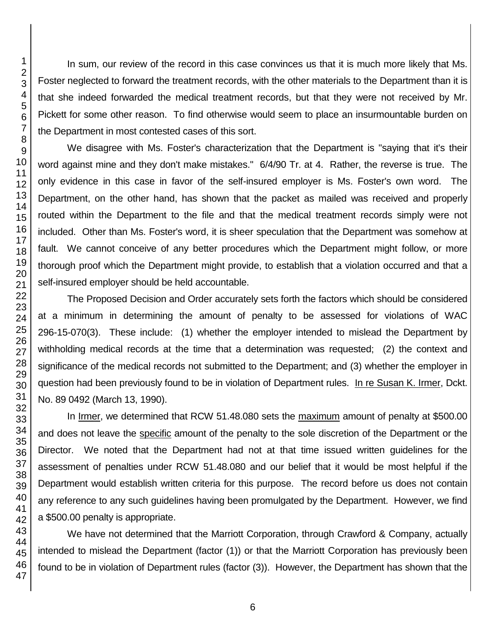In sum, our review of the record in this case convinces us that it is much more likely that Ms. Foster neglected to forward the treatment records, with the other materials to the Department than it is that she indeed forwarded the medical treatment records, but that they were not received by Mr. Pickett for some other reason. To find otherwise would seem to place an insurmountable burden on the Department in most contested cases of this sort.

We disagree with Ms. Foster's characterization that the Department is "saying that it's their word against mine and they don't make mistakes." 6/4/90 Tr. at 4. Rather, the reverse is true. The only evidence in this case in favor of the self-insured employer is Ms. Foster's own word. The Department, on the other hand, has shown that the packet as mailed was received and properly routed within the Department to the file and that the medical treatment records simply were not included. Other than Ms. Foster's word, it is sheer speculation that the Department was somehow at fault. We cannot conceive of any better procedures which the Department might follow, or more thorough proof which the Department might provide, to establish that a violation occurred and that a self-insured employer should be held accountable.

The Proposed Decision and Order accurately sets forth the factors which should be considered at a minimum in determining the amount of penalty to be assessed for violations of WAC 296-15-070(3). These include: (1) whether the employer intended to mislead the Department by withholding medical records at the time that a determination was requested; (2) the context and significance of the medical records not submitted to the Department; and (3) whether the employer in question had been previously found to be in violation of Department rules. In re Susan K. Irmer, Dckt. No. 89 0492 (March 13, 1990).

In Irmer, we determined that RCW 51.48.080 sets the maximum amount of penalty at \$500.00 and does not leave the specific amount of the penalty to the sole discretion of the Department or the Director. We noted that the Department had not at that time issued written guidelines for the assessment of penalties under RCW 51.48.080 and our belief that it would be most helpful if the Department would establish written criteria for this purpose. The record before us does not contain any reference to any such guidelines having been promulgated by the Department. However, we find a \$500.00 penalty is appropriate.

We have not determined that the Marriott Corporation, through Crawford & Company, actually intended to mislead the Department (factor (1)) or that the Marriott Corporation has previously been found to be in violation of Department rules (factor (3)). However, the Department has shown that the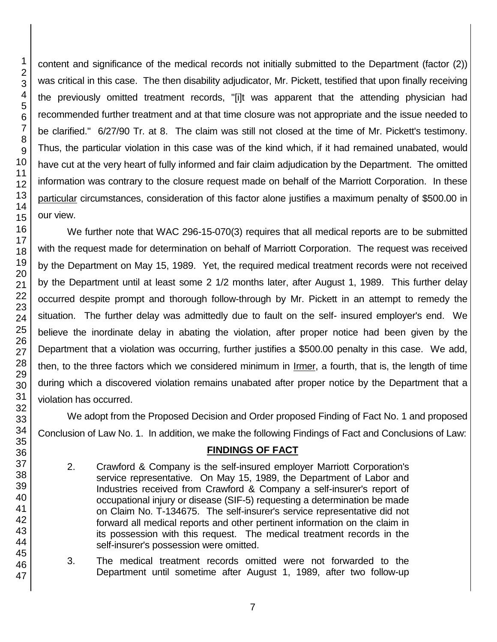content and significance of the medical records not initially submitted to the Department (factor (2)) was critical in this case. The then disability adjudicator, Mr. Pickett, testified that upon finally receiving the previously omitted treatment records, "[i]t was apparent that the attending physician had recommended further treatment and at that time closure was not appropriate and the issue needed to be clarified." 6/27/90 Tr. at 8. The claim was still not closed at the time of Mr. Pickett's testimony. Thus, the particular violation in this case was of the kind which, if it had remained unabated, would have cut at the very heart of fully informed and fair claim adjudication by the Department. The omitted information was contrary to the closure request made on behalf of the Marriott Corporation. In these particular circumstances, consideration of this factor alone justifies a maximum penalty of \$500.00 in our view.

We further note that WAC 296-15-070(3) requires that all medical reports are to be submitted with the request made for determination on behalf of Marriott Corporation. The request was received by the Department on May 15, 1989. Yet, the required medical treatment records were not received by the Department until at least some 2 1/2 months later, after August 1, 1989. This further delay occurred despite prompt and thorough follow-through by Mr. Pickett in an attempt to remedy the situation. The further delay was admittedly due to fault on the self- insured employer's end. We believe the inordinate delay in abating the violation, after proper notice had been given by the Department that a violation was occurring, further justifies a \$500.00 penalty in this case. We add, then, to the three factors which we considered minimum in Irmer, a fourth, that is, the length of time during which a discovered violation remains unabated after proper notice by the Department that a violation has occurred.

We adopt from the Proposed Decision and Order proposed Finding of Fact No. 1 and proposed Conclusion of Law No. 1. In addition, we make the following Findings of Fact and Conclusions of Law:

# **FINDINGS OF FACT**

- 2. Crawford & Company is the self-insured employer Marriott Corporation's service representative. On May 15, 1989, the Department of Labor and Industries received from Crawford & Company a self-insurer's report of occupational injury or disease (SIF-5) requesting a determination be made on Claim No. T-134675. The self-insurer's service representative did not forward all medical reports and other pertinent information on the claim in its possession with this request. The medical treatment records in the self-insurer's possession were omitted.
- 3. The medical treatment records omitted were not forwarded to the Department until sometime after August 1, 1989, after two follow-up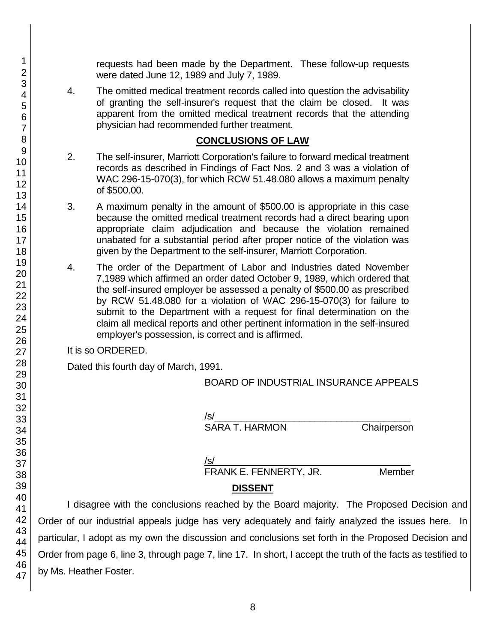requests had been made by the Department. These follow-up requests were dated June 12, 1989 and July 7, 1989.

4. The omitted medical treatment records called into question the advisability of granting the self-insurer's request that the claim be closed. It was apparent from the omitted medical treatment records that the attending physician had recommended further treatment.

#### **CONCLUSIONS OF LAW**

- 2. The self-insurer, Marriott Corporation's failure to forward medical treatment records as described in Findings of Fact Nos. 2 and 3 was a violation of WAC 296-15-070(3), for which RCW 51.48.080 allows a maximum penalty of \$500.00.
- 3. A maximum penalty in the amount of \$500.00 is appropriate in this case because the omitted medical treatment records had a direct bearing upon appropriate claim adjudication and because the violation remained unabated for a substantial period after proper notice of the violation was given by the Department to the self-insurer, Marriott Corporation.
- 4. The order of the Department of Labor and Industries dated November 7,1989 which affirmed an order dated October 9, 1989, which ordered that the self-insured employer be assessed a penalty of \$500.00 as prescribed by RCW 51.48.080 for a violation of WAC 296-15-070(3) for failure to submit to the Department with a request for final determination on the claim all medical reports and other pertinent information in the self-insured employer's possession, is correct and is affirmed.

It is so ORDERED.

Dated this fourth day of March, 1991.

BOARD OF INDUSTRIAL INSURANCE APPEALS

/s/  $\,$ SARA T. HARMON Chairperson

/s/  $\,$ 

FRANK E. FENNERTY, JR. Member

# **DISSENT**

I disagree with the conclusions reached by the Board majority. The Proposed Decision and Order of our industrial appeals judge has very adequately and fairly analyzed the issues here. In particular, I adopt as my own the discussion and conclusions set forth in the Proposed Decision and Order from page 6, line 3, through page 7, line 17. In short, I accept the truth of the facts as testified to by Ms. Heather Foster.